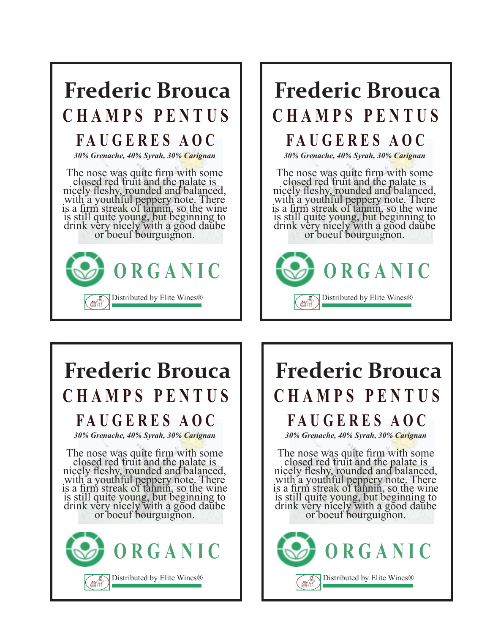

## **Frederic Brouca CHAMPS PENTUS**

### **FAUGERES AOC**

*30% Grenache, 40% Syrah, 30% Carignan*

The nose was quite firm with some closed red fruit and the palate is nicely fleshy, rounded and balanced, with a youthful peppery note. There is a firm streak of tannin, so the wine is still quite young, but beginning to drink very nicely with a good daube<br>or boeuf bourguignon.



# **Frederic Brouca CHAMPS PENTUS**

#### **FAUGERES AOC**

*30% Grenache, 40% Syrah, 30% Carignan*

The nose was quite firm with some closed red fruit and the palate is nicely fleshy, rounded and balanced, with a youthful peppery note. There is a firm streak of tannin, so the wine is still quite young, but beginning to drink very nicely with a good daube<br>or boeuf bourguignon.